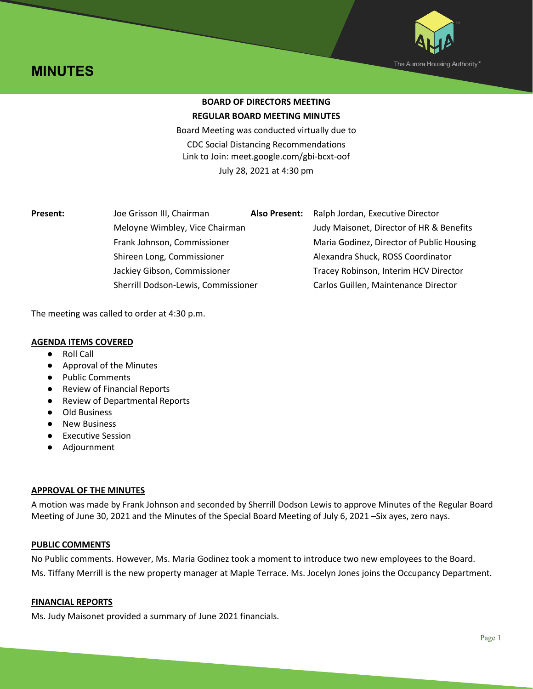



# **BOARD OF DIRECTORS MEETING REGULAR BOARD MEETING MINUTES**

Board Meeting was conducted virtually due to CDC Social Distancing Recommendations Link to Join: [meet.google.com/gbi-bcxt-oof](https://meet.google.com/gbi-bcxt-oof?hs=122&authuser=0) July 28, 2021 at 4:30 pm

| Present: | Joe Grisson III, Chairman           | <b>Also Present:</b> | Ralph Jordan, Executive Director          |
|----------|-------------------------------------|----------------------|-------------------------------------------|
|          | Meloyne Wimbley, Vice Chairman      |                      | Judy Maisonet, Director of HR & Benefits  |
|          | Frank Johnson, Commissioner         |                      | Maria Godinez, Director of Public Housing |
|          | Shireen Long, Commissioner          |                      | Alexandra Shuck, ROSS Coordinator         |
|          | Jackiey Gibson, Commissioner        |                      | Tracey Robinson, Interim HCV Director     |
|          | Sherrill Dodson-Lewis, Commissioner |                      | Carlos Guillen, Maintenance Director      |

The meeting was called to order at 4:30 p.m.

# **AGENDA ITEMS COVERED**

- Roll Call
- Approval of the Minutes
- Public Comments
- Review of Financial Reports
- Review of Departmental Reports
- Old Business
- New Business
- Executive Session
- Adjournment

# **APPROVAL OF THE MINUTES**

A motion was made by Frank Johnson and seconded by Sherrill Dodson Lewis to approve Minutes of the Regular Board Meeting of June 30, 2021 and the Minutes of the Special Board Meeting of July 6, 2021 –Six ayes, zero nays.

## **PUBLIC COMMENTS**

No Public comments. However, Ms. Maria Godinez took a moment to introduce two new employees to the Board. Ms. Tiffany Merrill is the new property manager at Maple Terrace. Ms. Jocelyn Jones joins the Occupancy Department.

## **FINANCIAL REPORTS**

Ms. Judy Maisonet provided a summary of June 2021 financials.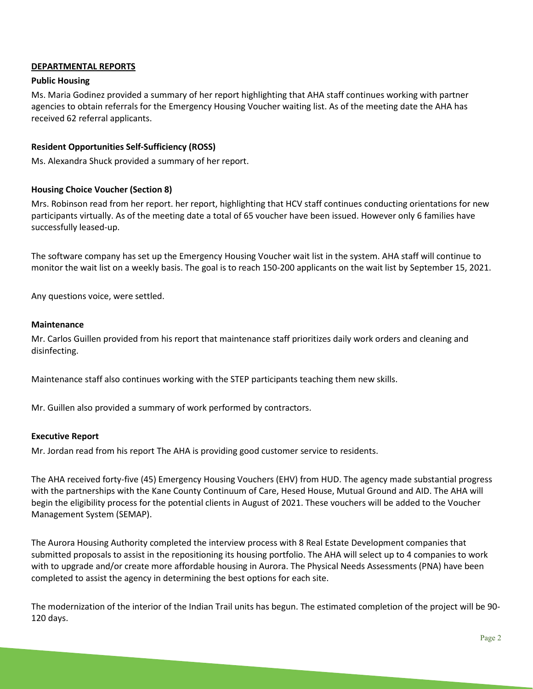# **DEPARTMENTAL REPORTS**

## **Public Housing**

Ms. Maria Godinez provided a summary of her report highlighting that AHA staff continues working with partner agencies to obtain referrals for the Emergency Housing Voucher waiting list. As of the meeting date the AHA has received 62 referral applicants.

## **Resident Opportunities Self-Sufficiency (ROSS)**

Ms. Alexandra Shuck provided a summary of her report.

#### **Housing Choice Voucher (Section 8)**

Mrs. Robinson read from her report. her report, highlighting that HCV staff continues conducting orientations for new participants virtually. As of the meeting date a total of 65 voucher have been issued. However only 6 families have successfully leased-up.

The software company has set up the Emergency Housing Voucher wait list in the system. AHA staff will continue to monitor the wait list on a weekly basis. The goal is to reach 150-200 applicants on the wait list by September 15, 2021.

Any questions voice, were settled.

#### **Maintenance**

Mr. Carlos Guillen provided from his report that maintenance staff prioritizes daily work orders and cleaning and disinfecting.

Maintenance staff also continues working with the STEP participants teaching them new skills.

Mr. Guillen also provided a summary of work performed by contractors.

#### **Executive Report**

Mr. Jordan read from his report The AHA is providing good customer service to residents.

The AHA received forty-five (45) Emergency Housing Vouchers (EHV) from HUD. The agency made substantial progress with the partnerships with the Kane County Continuum of Care, Hesed House, Mutual Ground and AID. The AHA will begin the eligibility process for the potential clients in August of 2021. These vouchers will be added to the Voucher Management System (SEMAP).

The Aurora Housing Authority completed the interview process with 8 Real Estate Development companies that submitted proposals to assist in the repositioning its housing portfolio. The AHA will select up to 4 companies to work with to upgrade and/or create more affordable housing in Aurora. The Physical Needs Assessments (PNA) have been completed to assist the agency in determining the best options for each site.

The modernization of the interior of the Indian Trail units has begun. The estimated completion of the project will be 90- 120 days.